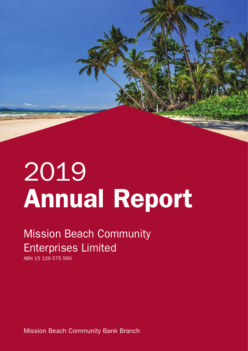

Mission Beach Community Enterprises Limited

ABN 15 129 575 560

Mission Beach Community Bank Branch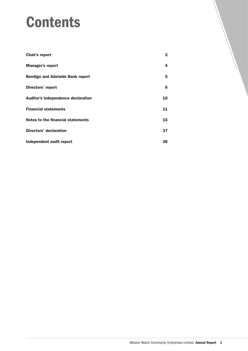# **Contents**

| <b>Chair's report</b>                   | $\overline{2}$ |
|-----------------------------------------|----------------|
| <b>Manager's report</b>                 | 4              |
| <b>Bendigo and Adelaide Bank report</b> | 5              |
| Directors' report                       | 6              |
| Auditor's independence declaration      | 10             |
| <b>Financial statements</b>             | 11             |
| Notes to the financial statements       | 15             |
| Directors' declaration                  | 37             |
| Independent audit report                | 38             |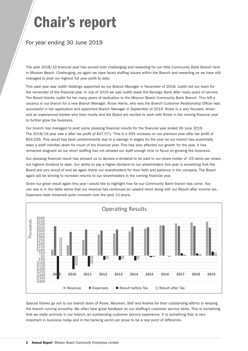# **Phair's report 2018/19 financial years and report 2018/19 financial years of the past 2018/19 financial year of the past 2018/19 financial year of the past 2019/19 financial year of the past 2019/19 financial year of the**

### For year ending 30 June 2019 and rewarding to post our heavy still managed to post our highest function of the

The past 2018/19 financial year has proved both challenging and rewarding for our little Community Bank Branch here in Mission Beach. Challenging, as again we have faced staffing issues within the Branch and rewarding as we have still in Mission Beach. Challenging, as again we have faced staffing issues within the Branch and rewarding a managed to post our highest full year profit to date.

This past year saw Judith Giddings appointed as our Branch Manager in November of 2018. Judith led our team for the remainder of the financial year. In July of 2019 we saw Judith leave the Bendigo Bank after many years of service. The Board thanks Judith for her many years of dedication to the Mission Beach Community Bank Branch. This left a vacancy in our branch for a new Branch Manager. Rosie Harris, who was the Branch Customer Relationship Officer was successful in her application and appointed Branch Manager in September of 2019. Rosie is a very focused, driven and an experienced banker who lives locally and the Board are excited to work with Rosie in the coming financial year to further grow the business. This result has been predominantly due to a saving the year as saying the year as

Our branch has managed to post some pleasing financial results for the financial year ended 30 June 2019. The 2018/19 year saw a after tax profit of \$47,571. This is a 93% increase on our previous year after tax profit of \$24,539. This result has been predominantly due to a savings in wages for the year as our branch has essentially been a staff member down for much of the financial year. This has also affected our growth for the year. It has remained stagnant as our short staffing has not allowed our staff enough time to focus on growing the business.

Our pleasing financial result has allowed us to declare a dividend to be paid to our share holder of .03 cents per share, our highest dividend to date. Our ability to pay a higher dividend to our shareholders this year is something that the board are very property providend to date. Our ability to pay a higher dividend to our shareholders thi Board are very proud of and we again thank our shareholders for their faith and patience in the company. The Board again will be striving to increase returns to our shareholders in the coming financial year.

Given our great result again this year I would like to highlight how far our Community Bank branch has come. You Given our great result again this year I would like to highlight how far our Community Bank has come. can see in in the table below that our revenue has continued an upward trend along with our Result after income tax.<br>Figures a have approached with constant our that our 40 years. Expenses have remained quite constant over the past 10 years.



Special thanks go out to our branch team of Rosie, Maureen, Stef and Andrea for their outstanding efforts in keeping the branch running smoothly. We often hear great feedback on our staffing's customer service skills. This is something that we really promote in our branch, an outstanding customer service experience. It is something that is very important in business today and in the banking world can prove to be a real point of difference.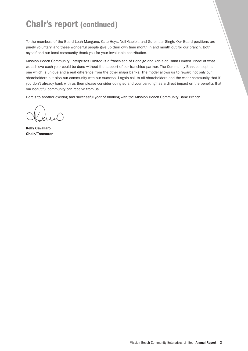# Chair's report (continued)

To the members of the Board Leah Mangano, Cate Heys, Neil Gabiola and Gurbindar Singh. Our Board positions are purely voluntary, and these wonderful people give up their own time month in and month out for our branch. Both myself and our local community thank you for your invaluable contribution.

Mission Beach Community Enterprises Limited is a franchisee of Bendigo and Adelaide Bank Limited. None of what we achieve each year could be done without the support of our franchise partner. The Community Bank concept is one which is unique and a real difference from the other major banks. The model allows us to reward not only our shareholders but also our community with our success. I again call to all shareholders and the wider community that if you don't already bank with us then please consider doing so and your banking has a direct impact on the benefits that our beautiful community can receive from us.

Here's to another exciting and successful year of banking with the Mission Beach Community Bank Branch.

Kelly Cavallaro Chair/Treasurer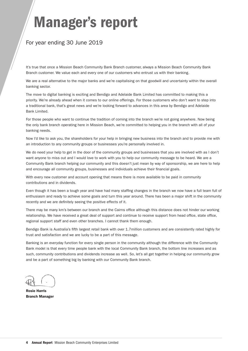# Manager's report

### For year ending 30 June 2019

It's true that once a Mission Beach Community Bank Branch customer, always a Mission Beach Community Bank Branch customer. We value each and every one of our customers who entrust us with their banking.

We are a real alternative to the major banks and we're capitalising on that goodwill and uncertainty within the overall banking sector.

The move to digital banking is exciting and Bendigo and Adelaide Bank Limited has committed to making this a priority. We're already ahead when it comes to our online offerings. For those customers who don't want to step into a traditional bank, that's great news and we're looking forward to advances in this area by Bendigo and Adelaide Bank Limited.

For those people who want to continue the tradition of coming into the branch we're not going anywhere. Now being the only bank branch operating here in Mission Beach, we're committed to helping you in the branch with all of your banking needs.

Now I'd like to ask you, the shareholders for your help in bringing new business into the branch and to provide me with an introduction to any community groups or businesses you're personally involved in.

We do need your help to get in the door of the community groups and businesses that you are involved with as I don't want anyone to miss out and I would love to work with you to help our community message to be heard. We are a Community Bank branch helping our community and this doesn't just mean by way of sponsorship, we are here to help and encourage all community groups, businesses and individuals achieve their financial goals.

With every new customer and account opening that means there is more available to be paid in community contributions and in dividends.

Even though it has been a tough year and have had many staffing changes in the branch we now have a full team full of enthusiasm and ready to achieve some goals and turn this year around. There has been a major shift in the community recently and we are definitely seeing the positive effects of it.

There may be many km's between our branch and the Cairns office although this distance does not hinder our working relationship. We have received a great deal of support and continue to receive support from head office, state office, regional support staff and even other branches. I cannot thank them enough.

Bendigo Bank is Australia's fifth largest retail bank with over 1.7million customers and are consistently rated highly for trust and satisfaction and we are lucky to be a part of this message.

Banking is an everyday function for every single person in the community although the difference with the Community Bank model is that every time people bank with the local Community Bank branch, the bottom line increases and as such, community contributions and dividends increase as well. So, let's all get together in helping our community grow and be a part of something big by banking with our Community Bank branch.

Rosie Harris Branch Manager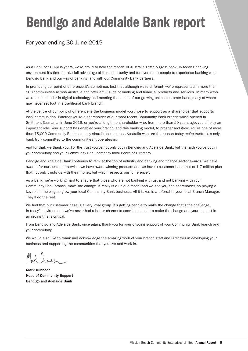# Bendigo and Adelaide Bank report

### For year ending 30 June 2019

As a Bank of 160-plus years, we're proud to hold the mantle of Australia's fifth biggest bank. In today's banking environment it's time to take full advantage of this opportunity and for even more people to experience banking with Bendigo Bank and our way of banking, and with our Community Bank partners.

In promoting our point of difference it's sometimes lost that although we're different, we're represented in more than 500 communities across Australia and offer a full suite of banking and financial products and services. In many ways we're also a leader in digital technology and meeting the needs of our growing online customer base, many of whom may never set foot in a traditional bank branch.

At the centre of our point of difference is the business model you chose to support as a shareholder that supports local communities. Whether you're a shareholder of our most recent Community Bank branch which opened in Smithton, Tasmania, in June 2019, or you're a long-time shareholder who, from more than 20 years ago, you all play an important role. Your support has enabled your branch, and this banking model, to prosper and grow. You're one of more than 75,000 Community Bank company shareholders across Australia who are the reason today, we're Australia's only bank truly committed to the communities it operates in.

And for that, we thank you. For the trust you've not only put in Bendigo and Adelaide Bank, but the faith you've put in your community and your Community Bank company local Board of Directors.

Bendigo and Adelaide Bank continues to rank at the top of industry and banking and finance sector awards. We have awards for our customer service, we have award winning products and we have a customer base that of 1.7 million-plus that not only trusts us with their money, but which respects our 'difference'.

As a Bank, we're working hard to ensure that those who are not banking with us, and not banking with your Community Bank branch, make the change. It really is a unique model and we see you, the shareholder, as playing a key role in helping us grow your local Community Bank business. All it takes is a referral to your local Branch Manager. They'll do the rest.

We find that our customer base is a very loyal group. It's getting people to make the change that's the challenge. In today's environment, we've never had a better chance to convince people to make the change and your support in achieving this is critical.

From Bendigo and Adelaide Bank, once again, thank you for your ongoing support of your Community Bank branch and your community.

We would also like to thank and acknowledge the amazing work of your branch staff and Directors in developing your business and supporting the communities that you live and work in.

Mak Lizzen

Mark Cunneen Head of Community Support Bendigo and Adelaide Bank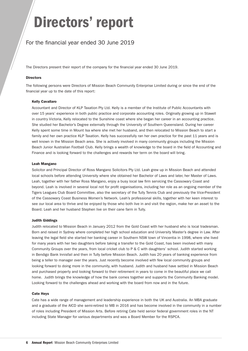# Directors' report

### For the financial year ended 30 June 2019

The Directors present their report of the company for the financial year ended 30 June 2019.

#### **Directors**

The following persons were Directors of Mission Beach Community Enterprise Limited during or since the end of the financial year up to the date of this report:

#### Kelly Cavallaro

Accountant and Director of KLP Taxation Pty Ltd. Kelly is a member of the Institute of Public Accountants with over 15 years' experience in both public practice and corporate accounting roles. Originally growing up in Stawell in country Victoria, Kelly relocated to the Sunshine coast where she began her career in an accounting practice. She studied her Bachelor's Degree externally through the University of Southern Queensland. During her career Kelly spent some time in Mount Isa where she met her husband, and then relocated to Mission Beach to start a family and her own practice KLP Taxation. Kelly has successfully ran her own practice for the past 11 years and is well known in the Mission Beach area. She is actively involved in many community groups including the Mission Beach Junior Australian Football Club. Kelly brings a wealth of knowledge to the board in the field of Accounting and Finance and is looking forward to the challenges and rewards her term on the board will bring.

#### Leah Mangano

Solicitor and Principal Director of Ross Mangano Solicitors Pty Ltd. Leah grew up in Mission Beach and attended local schools before attending University where she obtained her Bachelor of Laws and later, her Master of Laws. Leah, together with her father Ross Mangano, enjoy a busy local law firm servicing the Cassowary Coast and beyond. Leah is involved in several local not for profit organisations, including her role as an ongoing member of the Tigers Leagues Club Board Committee, also the secretary of the Tully Tennis Club and previously the Vice-President of the Cassowary Coast Business Women's Network. Leah's professional skills, together with her keen interest to see our local area to thrive and be enjoyed by those who both live in and visit the region, make her an asset to the Board. Leah and her husband Stephen live on their cane farm in Tully.

#### Judith Giddings

Judith relocated to Mission Beach in January 2012 from the Gold Coast with her husband who is local tradesman. Born and raised in Sydney where completed her high school education and University Master's degree in Law. After leaving the legal field she started her banking career in Southern NSW town of Vincentia in 1998, where she lived for many years with her two daughters before taking a transfer to the Gold Coast, has been involved with many Community Groups over the years, from local cricket club to P & C with daughters' school. Judith started working in Bendigo Bank Innisfail and then in Tully before Mission Beach. Judith has 20 years of banking experience from being a teller to manager over the years. Just recently become involved with few local community groups and looking forward to doing more in the community, with husband. Judith and husband have settled in Mission Beach and purchased property and looking forward to their retirement in years to come in the beautiful place we call home. Judith brings the knowledge of how the bank comes together and supports the Community Banking model. Looking forward to the challenges ahead and working with the board from now and in the future.

#### Cate Heys

Cate has a wide range of management and leadership experience in both the UK and Australia. An MBA graduate and a graduate of the AICD she semi-retired to MB in 2016 and has become involved in the community in a number of roles including President of Mission Arts. Before retiring Cate held senior federal government roles in the NT including State Manager for various departments and was a Board Member for the RSPCA.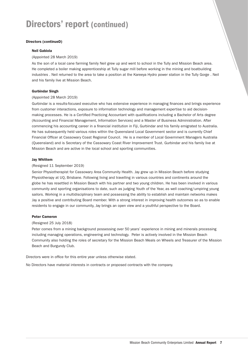# Directors' report (continued)

#### Directors (continueD)

#### Neil Gabiola

#### (Appointed 28 March 2019)

As the son of a local cane farming family Neil grew up and went to school in the Tully and Mission Beach area. He completed a boiler making apprenticeship at Tully sugar mill before working in the mining and boatbuilding industries . Neil returned to the area to take a position at the Kareeya Hydro power station in the Tully Gorge . Neil and his family live at Mission Beach.

#### Gurbindar Singh

#### (Appointed 28 March 2019)

Gurbindar is a results-focused executive who has extensive experience in managing finances and brings experience from customer interactions, exposure to information technology and management expertise to aid decisionmaking processes. He is a Certified Practicing Accountant with qualifications including a Bachelor of Arts degree (Accounting and Financial Management, Information Services) and a Master of Business Administration. After commencing his accounting career in a financial institution in Fiji, Gurbindar and his family emigrated to Australia. He has subsequently held various roles within the Queensland Local Government sector and is currently Chief Financial Officer at Cassowary Coast Regional Council. He is a member of Local Government Managers Australia (Queensland) and is Secretary of the Cassowary Coast River Improvement Trust. Gurbindar and his family live at Mission Beach and are active in the local school and sporting communities.

#### Jay Whittem

#### (Resigned 11 September 2019)

Senior Physiotherapist for Cassowary Area Community Health. Jay grew up in Mission Beach before studying Physiotherapy at UQ, Brisbane. Following living and travelling in various countries and continents around the globe he has resettled in Mission Beach with his partner and two young children. He has been involved in various community and sporting organisations to date, such as judging Youth of the Year, as well coaching/umpiring young sailors. Working in a multidisciplinary team and possessing the ability to establish and maintain networks makes Jay a positive and contributing Board member. With a strong interest in improving health outcomes so as to enable residents to engage in our community, Jay brings an open view and a youthful perspective to the Board.

#### Peter Cameron

#### (Resigned 25 July 2018)

Peter comes from a mining background possessing over 50 years' experience in mining and minerals processing including managing operations, engineering and technology. Peter is actively involved in the Mission Beach Community also holding the roles of secretary for the Mission Beach Meals on Wheels and Treasurer of the Mission Beach and Burgundy Club.

Directors were in office for this entire year unless otherwise stated.

No Directors have material interests in contracts or proposed contracts with the company.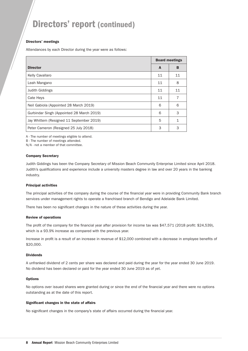## Directors' report (continued)

#### Directors' meetings

Attendances by each Director during the year were as follows:

|                                           | <b>Board meetings</b> |                |
|-------------------------------------------|-----------------------|----------------|
| <b>Director</b>                           | A                     | B              |
| Kelly Cavallaro                           | 11                    | 11             |
| Leah Mangano                              | 11                    | 8              |
| <b>Judith Giddings</b>                    | 11                    | 11             |
| Cate Heys                                 | 11                    | $\overline{7}$ |
| Neil Gabiola (Appointed 28 March 2019)    | 6                     | 6              |
| Gurbindar Singh (Appointed 28 March 2019) | 6                     | 3              |
| Jay Whittem (Resigned 11 September 2019)  | 5                     | $\mathbf 1$    |
| Peter Cameron (Resigned 25 July 2018)     | 3                     | 3              |

A - The number of meetings eligible to attend.

B - The number of meetings attended.

N/A - not a member of that committee.

#### Company Secretary

Judith Giddings has been the Company Secretary of Mission Beach Community Enterprise Limited since April 2018. Judith's qualifications and experience include a university masters degree in law and over 20 years in the banking industry.

#### Principal activities

The principal activities of the company during the course of the financial year were in providing Community Bank branch services under management rights to operate a franchised branch of Bendigo and Adelaide Bank Limited.

There has been no significant changes in the nature of these activities during the year.

#### Review of operations

The profit of the company for the financial year after provision for income tax was \$47,571 (2018 profit: \$24,539), which is a 93.9% increase as compared with the previous year.

Increase in profit is a result of an increase in revenue of \$12,000 combined with a decrease in employee benefits of \$20,000.

#### Dividends

A unfranked dividend of 2 cents per share was declared and paid during the year for the year ended 30 June 2019. No dividend has been declared or paid for the year ended 30 June 2019 as of yet.

#### **Options**

No options over issued shares were granted during or since the end of the financial year and there were no options outstanding as at the date of this report.

#### Significant changes in the state of affairs

No significant changes in the company's state of affairs occurred during the financial year.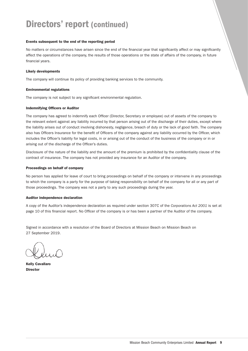# Directors' report (continued)

#### Events subsequent to the end of the reporting period

No matters or circumstances have arisen since the end of the financial year that significantly affect or may significantly affect the operations of the company, the results of those operations or the state of affairs of the company, in future financial years.

#### Likely developments

The company will continue its policy of providing banking services to the community.

#### Environmental regulations

The company is not subject to any significant environmental regulation.

#### Indemnifying Officers or Auditor

The company has agreed to indemnify each Officer (Director, Secretary or employee) out of assets of the company to the relevant extent against any liability incurred by that person arising out of the discharge of their duties, except where the liability arises out of conduct involving dishonesty, negligence, breach of duty or the lack of good faith. The company also has Officers Insurance for the benefit of Officers of the company against any liability occurred by the Officer, which includes the Officer's liability for legal costs, in or arising out of the conduct of the business of the company or in or arising out of the discharge of the Officer's duties.

Disclosure of the nature of the liability and the amount of the premium is prohibited by the confidentiality clause of the contract of insurance. The company has not provided any insurance for an Auditor of the company.

#### Proceedings on behalf of company

No person has applied for leave of court to bring proceedings on behalf of the company or intervene in any proceedings to which the company is a party for the purpose of taking responsibility on behalf of the company for all or any part of those proceedings. The company was not a party to any such proceedings during the year.

#### Auditor independence declaration

A copy of the Auditor's independence declaration as required under section 307C of the *Corporations Act 2001* is set at page 10 of this financial report. No Officer of the company is or has been a partner of the Auditor of the company.

Signed in accordance with a resolution of the Board of Directors at Mission Beach on Mission Beach on 27 September 2019.

Kelly Cavallaro **Director**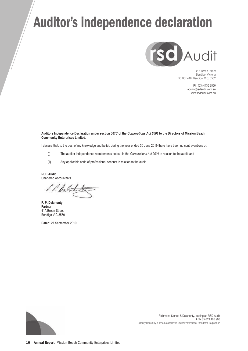# Auditor's independence declaration



41A Breen Street Bendigo, Victoria PO Box 448, Bendigo, VIC, 3552

> Ph: (03) 4435 3550 admin@rsdaudit.com.au www.rsdaudit.com.au

**Auditors Independence Declaration under section 307C of the** *Corporations Act 2001* **to the Directors of Mission Beach Community Enterprises Limited.**

I declare that, to the best of my knowledge and belief, during the year ended 30 June 2019 there have been no contraventions of:

- (i) The auditor independence requirements set out in the *Corporations Act 2001* in relation to the audit; and
- (ii) Any applicable code of professional conduct in relation to the audit.

**RSD Audit** Chartered Accountants

**P. P. Delahunty Partner** 41A Breen Street Bendigo VIC 3550

**Dated**: 27 September 2019



Richmond Sinnott & Delahunty, trading as RSD Audit ABN 85 619 186 908 Liability limited by a scheme approved under Professional Standards Legislation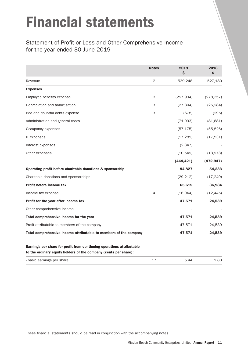# Financial statements

### Statement of Profit or Loss and Other Comprehensive Income for the year ended 30 June 2019

|                                                            | <b>Notes</b> | 2019<br>\$ | 2018<br>\$ |
|------------------------------------------------------------|--------------|------------|------------|
| Revenue                                                    | 2            | 539,248    | 527,180    |
| <b>Expenses</b>                                            |              |            |            |
| Employee benefits expense                                  | 3            | (257, 994) | (278, 357) |
| Depreciation and amortisation                              | 3            | (27, 304)  | (25, 284)  |
| Bad and doubtful debts expense                             | 3            | (678)      | (295)      |
| Administration and general costs                           |              | (71,093)   | (81, 681)  |
| Occupancy expenses                                         |              | (57, 175)  | (55, 826)  |
| IT expenses                                                |              | (17, 281)  | (17, 531)  |
| Interest expenses                                          |              | (2, 347)   |            |
| Other expenses                                             |              | (10, 549)  | (13, 973)  |
|                                                            |              | (444, 421) | (472, 947) |
| Operating profit before charitable donations & sponsorship |              | 94,827     | 54,233     |
| Charitable donations and sponsorships                      |              | (29, 212)  | (17, 249)  |
| <b>Profit before income tax</b>                            |              | 65,615     | 36,984     |
| Income tax expense                                         | 4            | (18, 044)  | (12, 445)  |
| Profit for the year after income tax                       |              | 47,571     | 24,539     |
|                                                            |              |            |            |
| Other comprehensive income                                 |              |            |            |
| Total comprehensive income for the year                    |              | 47,571     | 24,539     |
| Profit attributable to members of the company              |              | 47,571     | 24,539     |

| - basic earnings per share | 5.44 | 2.80 |
|----------------------------|------|------|
|                            |      |      |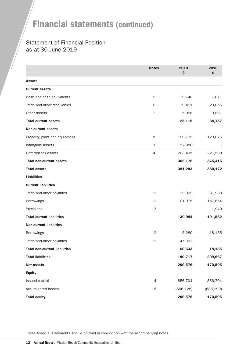# Financial statements (continued)

### Statement of Financial Position as at 30 June 2019

|                                      | <b>Notes</b> | 2019<br>\$ | 2018<br>\$ |
|--------------------------------------|--------------|------------|------------|
| <b>Assets</b>                        |              |            |            |
| <b>Current assets</b>                |              |            |            |
| Cash and cash equivalents            | 5            | 9,748      | 7,871      |
| Trade and other receivables          | 6            | 9,411      | 23,055     |
| Other assets                         | 7            | 5,956      | 3,831      |
| <b>Total current assets</b>          |              | 25,115     | 34,757     |
| <b>Non-current assets</b>            |              |            |            |
| Property, plant and equipment        | 8            | 109,795    | 123,876    |
| Intangible assets                    | 9            | 52,888     |            |
| Deferred tax assets                  | 4            | 203,495    | 221,539    |
| <b>Total non-current assets</b>      |              | 366,178    | 345,415    |
| <b>Total assets</b>                  |              | 391,293    | 380,172    |
| <b>Liabilities</b>                   |              |            |            |
| <b>Current liabilities</b>           |              |            |            |
| Trade and other payables             | 11           | 29,009     | 31,938     |
| Borrowings                           | 12           | 101,075    | 157,654    |
| Provisions                           | 13           |            | 1,940      |
| <b>Total current liabilities</b>     |              | 130,084    | 191,532    |
| <b>Non-current liabilities</b>       |              |            |            |
| Borrowings                           | 12           | 13,280     | 18,135     |
| Trade and other payables             | 11           | 47,353     |            |
| <b>Total non-current liabilities</b> |              | 60,633     | 18,135     |
| <b>Total liabilities</b>             |              | 190,717    | 209,667    |
| <b>Net assets</b>                    |              | 200,576    | 170,505    |
| <b>Equity</b>                        |              |            |            |
| Issued capital                       | 14           | 856,704    | 856,704    |
| <b>Accumulated losses</b>            | 15           | (656, 128) | (686, 199) |
| <b>Total equity</b>                  |              | 200,576    | 170,505    |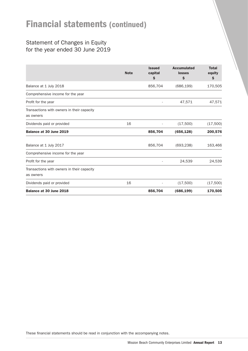# Financial statements (continued)

### Statement of Changes in Equity for the year ended 30 June 2019

|                                                         | <b>Note</b> | <b>Issued</b><br>capital<br>\$ | <b>Accumulated</b><br>losses<br>\$ | <b>Total</b><br>equity<br>\$ |
|---------------------------------------------------------|-------------|--------------------------------|------------------------------------|------------------------------|
| Balance at 1 July 2018                                  |             | 856,704                        | (686, 199)                         | 170,505                      |
| Comprehensive income for the year                       |             |                                |                                    |                              |
| Profit for the year                                     |             |                                | 47,571                             | 47,571                       |
| Transactions with owners in their capacity<br>as owners |             |                                |                                    |                              |
| Dividends paid or provided                              | 16          |                                | (17,500)                           | (17,500)                     |
| Balance at 30 June 2019                                 |             | 856,704                        | (656, 128)                         | 200,576                      |
| Balance at 1 July 2017                                  |             | 856,704                        | (693, 238)                         | 163,466                      |
| Comprehensive income for the year                       |             |                                |                                    |                              |
| Profit for the year                                     |             |                                | 24,539                             | 24,539                       |
| Transactions with owners in their capacity<br>as owners |             |                                |                                    |                              |
| Dividends paid or provided                              | 16          |                                | (17,500)                           | (17,500)                     |
| Balance at 30 June 2018                                 |             | 856,704                        | (686, 199)                         | 170,505                      |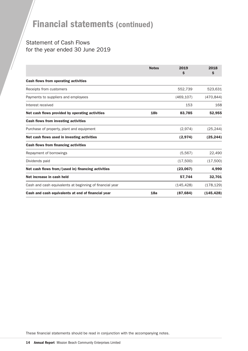# Financial statements (continued)

### Statement of Cash Flows for the year ended 30 June 2019

|                                                          | <b>Notes</b>    | 2019<br>\$ | 2018<br>\$ |
|----------------------------------------------------------|-----------------|------------|------------|
| <b>Cash flows from operating activities</b>              |                 |            |            |
| Receipts from customers                                  |                 | 552,739    | 523,631    |
| Payments to suppliers and employees                      |                 | (469, 107) | (470, 844) |
| Interest received                                        |                 | 153        | 168        |
| Net cash flows provided by operating activities          | 18 <sub>b</sub> | 83,785     | 52,955     |
| <b>Cash flows from investing activities</b>              |                 |            |            |
| Purchase of property, plant and equipment                |                 | (2,974)    | (25, 244)  |
| Net cash flows used in investing activities              |                 | (2,974)    | (25, 244)  |
| <b>Cash flows from financing activities</b>              |                 |            |            |
| Repayment of borrowings                                  |                 | (5,567)    | 22,490     |
| Dividends paid                                           |                 | (17,500)   | (17,500)   |
| Net cash flows from/(used in) financing activities       |                 | (23,067)   | 4,990      |
| Net increase in cash held                                |                 | 57,744     | 32,701     |
| Cash and cash equivalents at beginning of financial year |                 | (145, 428) | (178, 129) |
| Cash and cash equivalents at end of financial year       | 18a             | (87, 684)  | (145, 428) |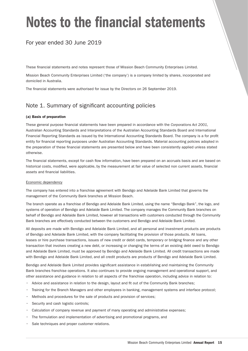# Notes to the financial statements

### For year ended 30 June 2019

These financial statements and notes represent those of Mission Beach Community Enterprises Limited.

Mission Beach Community Enterprises Limited ('the company') is a company limited by shares, incorporated and domiciled in Australia.

The financial statements were authorised for issue by the Directors on 26 September 2019.

### Note 1. Summary of significant accounting policies

#### (a) Basis of preparation

These general purpose financial statements have been prepared in accordance with the *Corporations Act 2001*, Australian Accounting Standards and Interpretations of the Australian Accounting Standards Board and International Financial Reporting Standards as issued by the International Accounting Standards Board. The company is a for profit entity for financial reporting purposes under Australian Accounting Standards. Material accounting policies adopted in the preparation of these financial statements are presented below and have been consistently applied unless stated otherwise.

The financial statements, except for cash flow information, have been prepared on an accruals basis and are based on historical costs, modified, were applicable, by the measurement at fair value of selected non current assets, financial assets and financial liabilities.

#### Economic dependency

The company has entered into a franchise agreement with Bendigo and Adelaide Bank Limited that governs the management of the Community Bank branches at Mission Beach.

The branch operate as a franchise of Bendigo and Adelaide Bank Limited, using the name "Bendigo Bank", the logo, and systems of operation of Bendigo and Adelaide Bank Limited. The company manages the Community Bank branches on behalf of Bendigo and Adelaide Bank Limited, however all transactions with customers conducted through the Community Bank branches are effectively conducted between the customers and Bendigo and Adelaide Bank Limited.

All deposits are made with Bendigo and Adelaide Bank Limited, and all personal and investment products are products of Bendigo and Adelaide Bank Limited, with the company facilitating the provision of those products. All loans, leases or hire purchase transactions, issues of new credit or debit cards, temporary or bridging finance and any other transaction that involves creating a new debt, or increasing or changing the terms of an existing debt owed to Bendigo and Adelaide Bank Limited, must be approved by Bendigo and Adelaide Bank Limited. All credit transactions are made with Bendigo and Adelaide Bank Limited, and all credit products are products of Bendigo and Adelaide Bank Limited.

Bendigo and Adelaide Bank Limited provides significant assistance in establishing and maintaining the Community Bank branches franchise operations. It also continues to provide ongoing management and operational support, and other assistance and guidance in relation to all aspects of the franchise operation, including advice in relation to:

- Advice and assistance in relation to the design, layout and fit out of the Community Bank branches;
- Training for the Branch Managers and other employees in banking, management systems and interface protocol;
- Methods and procedures for the sale of products and provision of services;
- Security and cash logistic controls;
- Calculation of company revenue and payment of many operating and administrative expenses;
- The formulation and implementation of advertising and promotional programs, and
- Sale techniques and proper customer relations.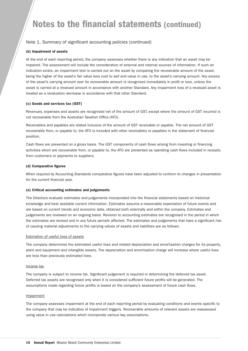#### Note 1. Summary of significant accounting policies (continued)

#### (b) Impairment of assets

At the end of each reporting period, the company assesses whether there is any indication that an asset may be impaired. The assessment will include the consideration of external and internal sources of information. If such an indication exists, an impairment test is carried out on the asset by comparing the recoverable amount of the asset, being the higher of the asset's fair value less cost to sell and value in use, to the asset's carrying amount. Any excess of the asset's carrying amount over its recoverable amount is recognised immediately in profit or loss, unless the asset is carried at a revalued amount in accordance with another Standard. Any impairment loss of a revalued asset is treated as a revaluation decrease in accordance with that other Standard.

#### (c) Goods and services tax (GST)

Revenues, expenses and assets are recognised net of the amount of GST, except where the amount of GST incurred is not recoverable from the Australian Taxation Office (ATO).

Receivables and payables are stated inclusive of the amount of GST receivable or payable. The net amount of GST recoverable from, or payable to, the ATO is included with other receivables or payables in the statement of financial position.

Cash flows are presented on a gross basis. The GST components of cash flows arising from investing or financing activities which are recoverable from, or payable to, the ATO are presented as operating cash flows included in receipts from customers or payments to suppliers.

#### (d) Comparative figures

When required by Accounting Standards comparative figures have been adjusted to conform to changes in presentation for the current financial year.

#### (e) Critical accounting estimates and judgements

The Directors evaluate estimates and judgements incorporated into the financial statements based on historical knowledge and best available current information. Estimates assume a reasonable expectation of future events and are based on current trends and economic data, obtained both externally and within the company. Estimates and judgements are reviewed on an ongoing basis. Revision to accounting estimates are recognised in the period in which the estimates are revised and in any future periods affected. The estimates and judgements that have a significant risk of causing material adjustments to the carrying values of assets and liabilities are as follows:

#### Estimation of useful lives of assets

The company determines the estimated useful lives and related depreciation and amortisation charges for its property, plant and equipment and intangible assets. The depreciation and amortisation charge will increase where useful lives are less than previously estimated lives.

#### Income tax

The company is subject to income tax. Significant judgement is required in determining the deferred tax asset. Deferred tax assets are recognised only when it is considered sufficient future profits will be generated. The assumptions made regarding future profits is based on the company's assessment of future cash flows.

#### Impairment

The company assesses impairment at the end of each reporting period by evaluating conditions and events specific to the company that may be indicative of impairment triggers. Recoverable amounts of relevant assets are reassessed using value in use calculations which incorporate various key assumptions.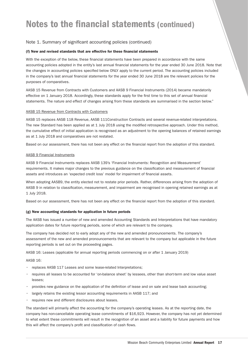#### Note 1. Summary of significant accounting policies (continued)

#### (f) New and revised standards that are effective for these financial statements

With the exception of the below, these financial statements have been prepared in accordance with the same accounting policies adopted in the entity's last annual financial statements for the year ended 30 June 2018. Note that the changes in accounting policies specified below ONLY apply to the current period. The accounting policies included in the company's last annual financial statements for the year ended 30 June 2018 are the relevant policies for the purposes of comparatives.

AASB 15 Revenue from Contracts with Customers and AASB 9 Financial Instruments (2014) became mandatorily effective on 1 January 2018. Accordingly, these standards apply for the first time to this set of annual financial statements. The nature and effect of changes arising from these standards are summarised in the section below."

#### AASB 15 Revenue from Contracts with Customers

AASB 15 replaces AASB 118 Revenue, AASB 111Construction Contracts and several revenue-related interpretations. The new Standard has been applied as at 1 July 2018 using the modified retrospective approach. Under this method, the cumulative effect of initial application is recognised as an adjustment to the opening balances of retained earnings as at 1 July 2018 and comparatives are not restated.

Based on our assessment, there has not been any effect on the financial report from the adoption of this standard.

#### AASB 9 Financial Instruments

AASB 9 Financial Instruments replaces AASB 139's 'Financial Instruments: Recognition and Measurement' requirements. It makes major changes to the previous guidance on the classification and measurement of financial assets and introduces an 'expected credit loss' model for impairment of financial assets.

When adopting AASB9, the entity elected not to restate prior periods. Rather, differences arising from the adoption of AASB 9 in relation to classification, measurement, and impairment are recognised in opening retained earnings as at 1 July 2018.

Based on our assessment, there has not been any effect on the financial report from the adoption of this standard.

#### (g) New accounting standards for application in future periods

The AASB has issued a number of new and amended Accounting Standards and Interpretations that have mandatory application dates for future reporting periods, some of which are relevant to the company.

The company has decided not to early adopt any of the new and amended pronouncements. The company's assessment of the new and amended pronouncements that are relevant to the company but applicable in the future reporting periods is set out on the proceeding pages.

AASB 16: Leases (applicable for annual reporting periods commencing on or after 1 January 2019)

#### AASB 16:

- replaces AASB 117 Leases and some lease-related Interpretations;
- requires all leases to be accounted for 'on-balance sheet' by lessees, other than short-term and low value asset leases;
- provides new guidance on the application of the definition of lease and on sale and lease back accounting;
- largely retains the existing lessor accounting requirements in AASB 117; and
- requires new and different disclosures about leases.

The standard will primarily affect the accounting for the company's operating leases. As at the reporting date, the company has non-cancellable operating lease commitments of \$16,923. However, the company has not yet determined to what extent these commitments will result in the recognition of an asset and a liability for future payments and how this will affect the company's profit and classification of cash flows.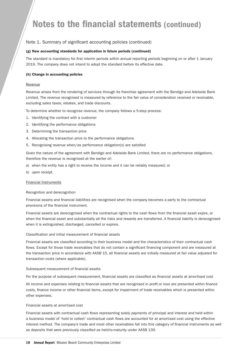#### Note 1. Summary of significant accounting policies (continued)

#### (g) New accounting standards for application in future periods (continued)

The standard is mandatory for first interim periods within annual reporting periods beginning on or after 1 January 2019. The company does not intend to adopt the standard before its effective date.

#### (h) Change in accounting policies

#### Revenue

Revenue arises from the rendering of services through its franchise agreement with the Bendigo and Adelaide Bank Limited. The revenue recognised is measured by reference to the fair value of consideration received or receivable, excluding sales taxes, rebates, and trade discounts.

To determine whether to recognise revenue, the company follows a 5-step process:

- 1. Identifying the contract with a customer
- 2. Identifying the performance obligations
- 3. Determining the transaction price
- 4. Allocating the transaction price to the performance obligations
- 5. Recognising revenue when/as performance obligation(s) are satisfied

Given the nature of the agreement with Bendigo and Adelaide Bank Limited, there are no performance obligations, therefore the revenue is recognised at the earlier of:

- a) when the entity has a right to receive the income and it can be reliably measured; or
- b) upon receipt.

#### Financial Instruments

#### Recognition and derecognition

Financial assets and financial liabilities are recognised when the company becomes a party to the contractual provisions of the financial instrument.

Financial assets are derecognised when the contractual rights to the cash flows from the financial asset expire, or when the financial asset and substantially all the risks and rewards are transferred. A financial liability is derecognised when it is extinguished, discharged, cancelled or expires.

#### Classification and initial measurement of financial assets

Financial assets are classified according to their business model and the characteristics of their contractual cash flows. Except for those trade receivables that do not contain a significant financing component and are measured at the transaction price in accordance with AASB 15, all financial assets are initially measured at fair value adjusted for transaction costs (where applicable).

Subsequent measurement of financial assets

For the purpose of subsequent measurement, financial assets are classified as financial assets at amortised cost

All income and expenses relating to financial assets that are recognised in profit or loss are presented within finance costs, finance income or other financial items, except for impairment of trade receivables which is presented within other expenses.

#### Financial assets at amortised cost

Financial assets with contractual cash flows representing solely payments of principal and interest and held within a business model of 'hold to collect' contractual cash flows are accounted for at amortised cost using the effective interest method. The company's trade and most other receivables fall into this category of financial instruments as well as deposits that were previously classified as held-to-maturity under AASB 139.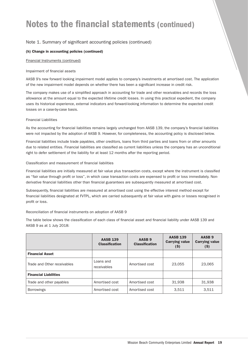#### Note 1. Summary of significant accounting policies (continued)

#### (h) Change in accounting policies (continued)

#### Financial Instruments (continued)

#### Impairment of financial assets

AASB 9's new forward looking impairment model applies to company's investments at amortised cost. The application of the new impairment model depends on whether there has been a significant increase in credit risk.

The company makes use of a simplified approach in accounting for trade and other receivables and records the loss allowance at the amount equal to the expected lifetime credit losses. In using this practical expedient, the company uses its historical experience, external indicators and forward-looking information to determine the expected credit losses on a case-by-case basis.

#### Financial Liabilities

As the accounting for financial liabilities remains largely unchanged from AASB 139, the company's financial liabilities were not impacted by the adoption of AASB 9. However, for completeness, the accounting policy is disclosed below.

Financial liabilities include trade payables, other creditors, loans from third parties and loans from or other amounts due to related entities. Financial liabilities are classified as current liabilities unless the company has an unconditional right to defer settlement of the liability for at least 12 months after the reporting period.

#### Classification and measurement of financial liabilities

Financial liabilities are initially measured at fair value plus transaction costs, except where the instrument is classified as "fair value through profit or loss", in which case transaction costs are expensed to profit or loss immediately. Nonderivative financial liabilities other than financial guarantees are subsequently measured at amortised cost.

Subsequently, financial liabilities are measured at amortised cost using the effective interest method except for financial liabilities designated at FVTPL, which are carried subsequently at fair value with gains or losses recognised in profit or loss.

#### Reconciliation of financial instruments on adoption of AASB 9

The table below shows the classification of each class of financial asset and financial liability under AASB 139 and AASB 9 as at 1 July 2018:

|                              | <b>AASB 139</b><br><b>Classification</b> | AASB <sub>9</sub><br><b>Classification</b> | <b>AASB 139</b><br><b>Carrying value</b><br>(S) | AASB <sub>9</sub><br><b>Carrying value</b><br>$(\$)$ |
|------------------------------|------------------------------------------|--------------------------------------------|-------------------------------------------------|------------------------------------------------------|
| <b>Financial Asset</b>       |                                          |                                            |                                                 |                                                      |
| Trade and Other receivables  | Loans and<br>receivables                 | Amortised cost                             | 23,055                                          | 23,065                                               |
| <b>Financial Liabilities</b> |                                          |                                            |                                                 |                                                      |
| Trade and other payables     | Amortised cost                           | Amortised cost                             | 31,938                                          | 31,938                                               |
| <b>Borrowings</b>            | Amortised cost                           | Amortised cost                             | 3,511                                           | 3,511                                                |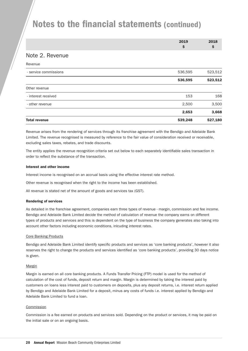|                                                     | 2019 | 2018 |
|-----------------------------------------------------|------|------|
| $\mathbf{a}$ $\mathbf{b}$ $\mathbf{c}$ $\mathbf{c}$ |      |      |

#### Note 2. Revenue

| <b>Total revenue</b>  | 539,248 | 527,180 |
|-----------------------|---------|---------|
|                       | 2,653   | 3,668   |
| - other revenue       | 2,500   | 3,500   |
| - interest received   | 153     | 168     |
| Other revenue         |         |         |
|                       | 536,595 | 523,512 |
| - service commissions | 536,595 | 523,512 |
| Revenue               |         |         |

Revenue arises from the rendering of services through its franchise agreement with the Bendigo and Adelaide Bank Limited. The revenue recognised is measured by reference to the fair value of consideration received or receivable, excluding sales taxes, rebates, and trade discounts.

The entity applies the revenue recognition criteria set out below to each separately identifiable sales transaction in order to reflect the substance of the transaction.

#### Interest and other income

Interest income is recognised on an accrual basis using the effective interest rate method.

Other revenue is recognised when the right to the income has been established.

All revenue is stated net of the amount of goods and services tax (GST).

#### Rendering of services

As detailed in the franchise agreement, companies earn three types of revenue - margin, commission and fee income. Bendigo and Adelaide Bank Limited decide the method of calculation of revenue the company earns on different types of products and services and this is dependent on the type of business the company generates also taking into account other factors including economic conditions, inlcuding interest rates.

#### Core Banking Products

Bendigo and Adelaide Bank Limited identify specific products and services as 'core banking products', however it also reserves the right to change the products and services identified as 'core banking products', providing 30 days notice is given.

#### Margin

Margin is earned on all core banking products. A Funds Transfer Pricing (FTP) model is used for the method of calculation of the cost of funds, deposit return and margin. Margin is determined by taking the interest paid by customers on loans less interest paid to customers on deposits, plus any deposit returns, i.e. interest return applied by Bendigo and Adelaide Bank Limited for a deposit, minus any costs of funds i.e. interest applied by Bendigo and Adelaide Bank Limited to fund a loan.

#### Commission

Commission is a fee earned on products and services sold. Depending on the product or services, it may be paid on the initial sale or on an ongoing basis.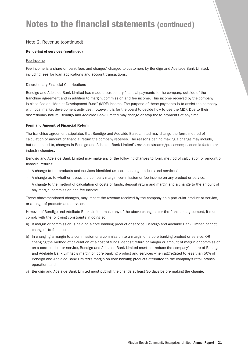#### Note 2. Revenue (continued)

#### Rendering of services (continued)

#### Fee Income

Fee income is a share of 'bank fees and charges' charged to customers by Bendigo and Adeliade Bank Limited, including fees for loan applications and account transactions.

#### Discretionary Financial Contributions

Bendigo and Adelaide Bank Limited has made discretionary financial payments to the company, outside of the franchise agreement and in addition to margin, commission and fee income. This income received by the company is classified as "Market Development Fund" (MDF) income. The purpose of these payments is to assist the company with local market development activities, however, it is for the board to decide how to use the MDF. Due to their discretionary nature, Bendigo and Adelaide Bank Limited may change or stop these payments at any time.

#### Form and Amount of Financial Return

The franchise agreement stipulates that Bendigo and Adelaide Bank Limited may change the form, method of calculation or amount of financial return the company receives. The reasons behind making a change may include, but not limited to, changes in Bendigo and Adelaide Bank Limited's revenue streams/processes; economic factors or industry changes.

Bendigo and Adelaide Bank Limited may make any of the following changes to form, method of calculation or amount of financial returns:

- A change to the products and services identified as 'core banking products and services'
- A change as to whether it pays the company margin, commission or fee income on any product or service.
- A change to the method of calculation of costs of funds, deposit return and margin and a change to the amount of any margin, commission and fee income.

These abovementioned changes, may impact the revenue received by the company on a particular product or service, or a range of products and services.

However, if Bendigo and Adeliade Bank Limited make any of the above changes, per the franchise agreement, it must comply with the following constraints in doing so.

- a) If margin or commission is paid on a core banking product or service, Bendigo and Adelaide Bank Limited cannot change it to fee income;
- b) In changing a margin to a commission or a commission to a margin on a core banking product or service, OR changing the method of calculation of a cost of funds, deposit return or margin or amount of margin or commission on a core product or service, Bendigo and Adelaide Bank Limited must not reduce the company's share of Bendigo and Adelaide Bank Limited's margin on core banking product and services when aggregated to less than 50% of Bendigo and Adelaide Bank Limited's margin on core banking products attributed to the company's retail branch operation; and
- c) Bendigo and Adelaide Bank Limited must publish the change at least 30 days before making the change.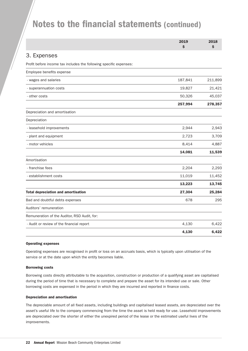|                                                                    | 2019<br>\$ | 2018<br>Ś |
|--------------------------------------------------------------------|------------|-----------|
| 3. Expenses                                                        |            |           |
| Profit before income tax includes the following specific expenses: |            |           |
| Employee benefits expense                                          |            |           |
| - wages and salaries                                               | 187,841    | 211,899   |
| - superannuation costs                                             | 19,827     | 21,421    |
| - other costs                                                      | 50,326     | 45,037    |
|                                                                    | 257,994    | 278,357   |
| Depreciation and amortisation                                      |            |           |
| Depreciation                                                       |            |           |
| - leasehold improvements                                           | 2,944      | 2,943     |
| - plant and equipment                                              | 2,723      | 3,709     |
| - motor vehicles                                                   | 8,414      | 4,887     |
|                                                                    | 14,081     | 11,539    |
| Amortisation                                                       |            |           |
| - franchise fees                                                   | 2,204      | 2,293     |
| - establishment costs                                              | 11,019     | 11,452    |
|                                                                    | 13,223     | 13,745    |
| <b>Total depreciation and amortisation</b>                         | 27,304     | 25,284    |
| Bad and doubtful debts expenses                                    | 678        | 295       |
| Auditors' remuneration                                             |            |           |
| Remuneration of the Auditor, RSD Audit, for:                       |            |           |
| - Audit or review of the financial report                          | 4,130      | 6,422     |
|                                                                    | 4,130      | 6,422     |

#### Operating expenses

Operating expenses are recognised in profit or loss on an accruals basis, which is typically upon utilisation of the service or at the date upon which the entity becomes liable.

#### Borrowing costs

Borrowing costs directly attributable to the acquisition, construction or production of a qualifying asset are capitalised during the period of time that is necessary to complete and prepare the asset for its intended use or sale. Other borrowing costs are expensed in the period in which they are incurred and reported in finance costs.

#### Depreciation and amortisation

The depreciable amount of all fixed assets, including buildings and capitalised leased assets, are depreciated over the asset's useful life to the company commencing from the time the asset is held ready for use. Leasehold improvements are depreciated over the shorter of either the unexpired period of the lease or the estimated useful lives of the improvements.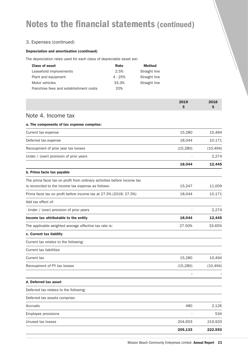#### 3. Expenses (continued)

#### Depreciation and amortisation (continued)

The depreciation rates used for each class of depreciable asset are:

| <b>Class of asset</b>                  | Rate      | <b>Method</b> |
|----------------------------------------|-----------|---------------|
| Leasehold improvements                 | 2.5%      | Straight line |
| Plant and equipment                    | $4 - 25%$ | Straight line |
| Motor vehicles                         | 33.3%     | Straight line |
| Franchise fees and establishment costs | 20%       |               |

| ZUIJ | ነበ1 ዓ<br>סבטנ |
|------|---------------|
|      |               |
|      |               |

### Note 4. Income tax

#### a. The components of tax expense comprise:

| Current tax expense                                                      | 15,280    | 10,494    |
|--------------------------------------------------------------------------|-----------|-----------|
| Deferred tax expense                                                     | 18,044    | 10,171    |
| Recoupment of prior year tax losses                                      | (15, 280) | (10, 494) |
| Under / (over) provision of prior years                                  |           | 2,274     |
|                                                                          | 18,044    | 12,445    |
| b. Prima facie tax payable                                               |           |           |
| The prima facie tax on profit from ordinary activities before income tax |           |           |
| is reconciled to the income tax expense as follows:                      | 15,247    | 11,009    |
| Prima facie tax on profit before income tax at 27.5% (2018: 27.5%)       | 18,044    | 10,171    |
| Add tax effect of:                                                       |           |           |
| - Under / (over) provision of prior years                                |           | 2,274     |
| Income tax attributable to the entity                                    | 18,044    | 12,445    |
| The applicable weighted average effective tax rate is:                   | 27.50%    | 33.65%    |
| c. Current tax liability                                                 |           |           |
| Current tax relates to the following:                                    |           |           |
| <b>Current tax liabilities</b>                                           |           |           |
| Current tax                                                              | 15,280    | 10,494    |
| Recoupment of PY tax losses                                              | (15, 280) | (10, 494) |
|                                                                          |           |           |
| d. Deferred tax asset                                                    |           |           |
| Deferred tax relates to the following:                                   |           |           |
| Deferred tax assets comprise:                                            |           |           |
| Accruals                                                                 | 480       | 2,126     |
| Employee provisions                                                      |           | 534       |
| Unused tax losses                                                        | 204,653   | 219,933   |
|                                                                          | 205,133   | 222,593   |
|                                                                          |           |           |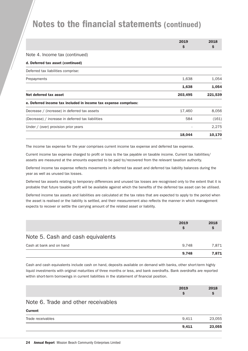|                                                                  | 2019<br>\$ | 2018<br>\$ |
|------------------------------------------------------------------|------------|------------|
| Note 4. Income tax (continued)                                   |            |            |
| d. Deferred tax asset (continued)                                |            |            |
| Deferred tax liabilities comprise:                               |            |            |
| Prepayments                                                      | 1,638      | 1,054      |
|                                                                  | 1,638      | 1,054      |
| Net deferred tax asset                                           | 203,495    | 221,539    |
| e. Deferred income tax included in income tax expense comprises: |            |            |
| Decrease / (increase) in deferred tax assets                     | 17,460     | 8,056      |
| (Decrease) / increase in deferred tax liabilities                | 584        | (161)      |
| Under / (over) provision prior years                             |            | 2,275      |
|                                                                  | 18,044     | 10,170     |

The income tax expense for the year comprises current income tax expense and deferred tax expense.

Current income tax expense charged to profit or loss is the tax payable on taxable income. Current tax liabilities/ assets are measured at the amounts expected to be paid to/recovered from the relevant taxation authority.

Deferred income tax expense reflects movements in deferred tax asset and deferred tax liability balances during the year as well as unused tax losses.

Deferred tax assets relating to temporary differences and unused tax losses are recognised only to the extent that it is probable that future taxable profit will be available against which the benefits of the deferred tax asset can be utilised.

Deferred income tax assets and liabilities are calculated at the tax rates that are expected to apply to the period when the asset is realised or the liability is settled, and their measurement also reflects the manner in which management expects to recover or settle the carrying amount of the related asset or liability.

|                                   | 2019<br>s | 2018  |
|-----------------------------------|-----------|-------|
| Note 5. Cash and cash equivalents |           |       |
| Cash at bank and on hand          | 9.748     | 7.871 |
|                                   | 9.748     | 7.871 |

Cash and cash equivalents include cash on hand, deposits available on demand with banks, other short-term highly liquid investments with original maturities of three months or less, and bank overdrafts. Bank overdrafts are reported within short-term borrowings in current liabilities in the statement of financial position.

| 2019 | 2018 |
|------|------|
|      |      |

### Note 6. Trade and other receivables

#### Current

|                   | 9,411 | 23,055 |
|-------------------|-------|--------|
| Trade receivables | 9.411 | 23,055 |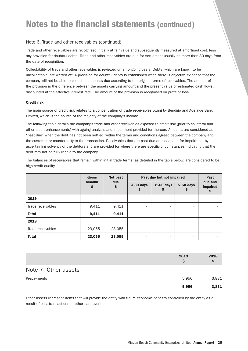#### Note 6. Trade and other receivables (continued)

Trade and other receivables are recognised initially at fair value and subsequently measured at amortised cost, less any provision for doubtful debts. Trade and other receivables are due for settlement usually no more than 30 days from the date of recognition.

Collectability of trade and other receivables is reviewed on an ongoing basis. Debts, which are known to be uncollectable, are written off. A provision for doubtful debts is established when there is objective evidence that the company will not be able to collect all amounts due according to the original terms of receivables. The amount of the provision is the difference between the assets carrying amount and the present value of estimated cash flows, discounted at the effective interest rate. The amount of the provision is recognised on profit or loss.

#### Credit risk

The main source of credit risk relates to a concentration of trade receivables owing by Bendigo and Adelaide Bank Limited, which is the source of the majority of the company's income.

The following table details the company's trade and other receivables exposed to credit risk (prior to collateral and other credit enhancements) with ageing analysis and impairment provided for thereon. Amounts are considered as "past due" when the debt has not been settled, within the terms and conditions agreed between the company and the customer or counterparty to the transaction. Receivables that are past due are assessed for impairment by ascertaining solvency of the debtors and are provided for where there are specific circumstances indicating that the debt may not be fully repaid to the company.

The balances of receivables that remain within initial trade terms (as detailed in the table below) are considered to be high credit quality.

|                   | <b>Gross</b> | Past due but not impaired<br>Not past |                          |                          |             |                          |  |
|-------------------|--------------|---------------------------------------|--------------------------|--------------------------|-------------|--------------------------|--|
|                   | amount<br>\$ | due<br>\$                             | $<$ 30 days<br>S         | 31-60 days               | $> 60$ days | due and<br>impaired<br>Ş |  |
| 2019              |              |                                       |                          |                          |             |                          |  |
| Trade receivables | 9,411        | 9,411                                 | $\overline{\phantom{a}}$ | ٠                        | $\sim$      |                          |  |
| <b>Total</b>      | 9,411        | 9,411                                 | ٠                        | $\overline{\phantom{a}}$ | ٠           |                          |  |
| 2018              |              |                                       |                          |                          |             |                          |  |
| Trade receivables | 23,055       | 23,055                                | $\overline{\phantom{a}}$ | ۰                        | ٠           |                          |  |
| <b>Total</b>      | 23,055       | 23,055                                | ٠                        | ٠                        | ٠           |                          |  |

|                      | 2019<br>S | 2018  |
|----------------------|-----------|-------|
| Note 7. Other assets |           |       |
| Prepayments          | 5,956     | 3,831 |
|                      | 5,956     | 3,831 |

Other assets represent items that will provide the entity with future economic benefits controlled by the entity as a result of past transactions or other past events.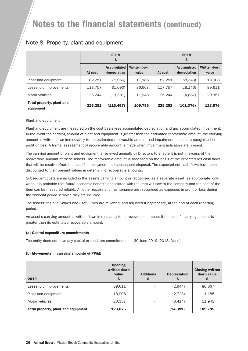### Note 8. Property, plant and equipment

|                                        | 2019<br>\$ |                                    |                              | 2018<br>Ş |                                    |                              |
|----------------------------------------|------------|------------------------------------|------------------------------|-----------|------------------------------------|------------------------------|
|                                        | At cost    | <b>Accumulated</b><br>depreciation | <b>Written down</b><br>value | At cost   | <b>Accumulated</b><br>depreciation | <b>Written down</b><br>value |
| Plant and equipment                    | 82,251     | (71,066)                           | 11,185                       | 82,251    | (68, 343)                          | 13,908                       |
| Leasehold improvements                 | 117,757    | (31,090)                           | 86.667                       | 117.757   | (28, 146)                          | 89,611                       |
| Motor vehicles                         | 25.244     | (13, 301)                          | 11,943                       | 25.244    | (4,887)                            | 20,357                       |
| Total property, plant and<br>equipment | 225,252    | (115, 457)                         | 109,795                      | 225,252   | (101,376)                          | 123,876                      |

#### Plant and equipment

Plant and equipment are measured on the cost basis less accumulated depreciation and any accumulated impairment. In the event the carrying amount of plant and equipment is greater than the estimated recoverable amount, the carrying amount is written down immediately to the estimated recoverable amount and impairment losses are recognised in profit or loss. A formal assessment of recoverable amount is made when impairment indicators are present.

The carrying amount of plant and equipment is reviewed annually by Directors to ensure it is not in excess of the recoverable amount of these assets. The recoverable amount is assessed on the basis of the expected net cash flows that will be received from the asset's employment and subsequent disposal. The expected net cash flows have been discounted to their present values in determining recoverable amounts.

Subsequent costs are included in the assets carrying amount or recognised as a separate asset, as appropriate, only when it is probable that future economic benefits associated with the item will flow to the company and the cost of the item can be measured reliably. All other repairs and maintenance are recognised as expenses in profit or loss during the financial period in which they are incurred.

The assets' residual values and useful lives are reviewed, and adjusted if appropriate, at the end of each reporting period.

An asset's carrying amount is written down immediately to its recoverable amount if the asset's carrying amount is greater than its estimated recoverable amount.

#### (a) Capital expenditure commitments

The entity does not have any capital expenditure commitments at 30 June 2019 (2018: None)

#### (b) Movements in carrying amounts of PP&E

| 2019                                | <b>Opening</b><br>written down<br>value | <b>Additions</b><br>Ş | <b>Depreciation</b> | <b>Closing written</b><br>down value |
|-------------------------------------|-----------------------------------------|-----------------------|---------------------|--------------------------------------|
| Leasehold improvements              | 89,611                                  |                       | (2,944)             | 86,667                               |
| Plant and equipment                 | 13,908                                  | ۰                     | (2, 723)            | 11,185                               |
| Motor vehicles                      | 20,357                                  |                       | (8, 414)            | 11,943                               |
| Total property, plant and equipment | 123,876                                 |                       | (14,081)            | 109,795                              |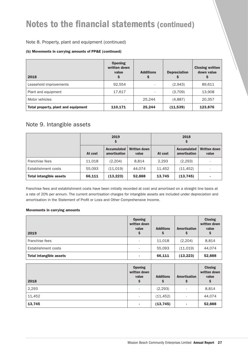#### Note 8. Property, plant and equipment (continued)

#### (b) Movements in carrying amounts of PP&E (continued)

| 2018                                | <b>Opening</b><br>written down<br>value<br>\$ | <b>Additions</b><br>\$ | <b>Depreciation</b> | <b>Closing written</b><br>down value |
|-------------------------------------|-----------------------------------------------|------------------------|---------------------|--------------------------------------|
| Leasehold improvements              | 92,554                                        |                        | (2,943)             | 89,611                               |
| Plant and equipment                 | 17,617                                        | $\sim$                 | (3,709)             | 13,908                               |
| Motor vehicles                      |                                               | 25.244                 | (4,887)             | 20,357                               |
| Total property, plant and equipment | 110,171                                       | 25,244                 | (11, 539)           | 123,876                              |

### Note 9. Intangible assets

|                                | 2019    |                                    |                       |         | 2018                               |                              |
|--------------------------------|---------|------------------------------------|-----------------------|---------|------------------------------------|------------------------------|
|                                | At cost | <b>Accumulated</b><br>amortisation | Written down<br>value | At cost | <b>Accumulated</b><br>amortisation | <b>Written down</b><br>value |
| Franchise fees                 | 11.018  | (2,204)                            | 8,814                 | 2,293   | (2, 293)                           |                              |
| Establishment costs            | 55,093  | (11,019)                           | 44.074                | 11,452  | (11, 452)                          |                              |
| <b>Total intangible assets</b> | 66,111  | (13,223)                           | 52,888                | 13,745  | (13, 745)                          |                              |

Franchise fees and establishment costs have been initially recorded at cost and amortised on a straight line basis at a rate of 20% per annum. The current amortisation charges for intangible assets are included under depreciation and amortisation in the Statement of Profit or Loss and Other Comprehensive Income.

#### Movements in carrying amounts

| 2019                           | <b>Opening</b><br>written down<br>value | <b>Additions</b> | <b>Amortisation</b> | <b>Closing</b><br>written down<br>value<br>Ş |
|--------------------------------|-----------------------------------------|------------------|---------------------|----------------------------------------------|
| Franchise fees                 | <b>.</b>                                | 11,018           | (2,204)             | 8,814                                        |
| Establishment costs            | <b>.</b>                                | 55,093           | (11,019)            | 44,074                                       |
| <b>Total intangible assets</b> |                                         | 66,111           | (13, 223)           | 52,888                                       |

| 2018   | <b>Opening</b><br>written down<br>value | <b>Additions</b> | <b>Amortisation</b>      | <b>Closing</b><br>written down<br>value |
|--------|-----------------------------------------|------------------|--------------------------|-----------------------------------------|
| 2,293  | $\overline{a}$                          | (2, 293)         | $\overline{\phantom{a}}$ | 8,814                                   |
| 11,452 | $\overline{a}$                          | (11, 452)        | $\overline{\phantom{a}}$ | 44,074                                  |
| 13,745 | ٠                                       | (13, 745)        | ٠                        | 52,888                                  |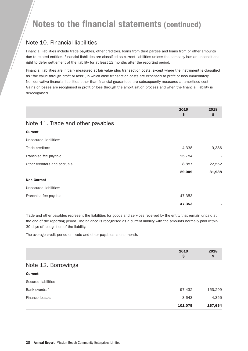### Note 10. Financial liabilities

Financial liabilities include trade payables, other creditors, loans from third parties and loans from or other amounts due to related entities. Financial liabilities are classified as current liabilities unless the company has an unconditional right to defer settlement of the liability for at least 12 months after the reporting period.

Financial liabilities are initially measured at fair value plus transaction costs, except where the instrument is classified as "fair value through profit or loss", in which case transaction costs are expensed to profit or loss immediately. Non-derivative financial liabilities other than financial guarantees are subsequently measured at amortised cost. Gains or losses are recognised in profit or loss through the amortisation process and when the financial liability is derecognised.

|                                                 | 2019 | 2018 |
|-------------------------------------------------|------|------|
|                                                 |      |      |
| Abbata Abdi Theodore and subscription of the co |      |      |

### Note 11. Irade and other payables

| 4,338  | 9,386  |
|--------|--------|
| 15,784 |        |
| 8,887  | 22,552 |
| 29,009 | 31,938 |
|        |        |
|        |        |
| 47,353 |        |
| 47,353 |        |
|        |        |

Trade and other payables represent the liabilities for goods and services received by the entity that remain unpaid at the end of the reporting period. The balance is recognised as a current liability with the amounts normally paid within 30 days of recognition of the liability.

The average credit period on trade and other payables is one month.

|                     | 101,075    | 157,654    |
|---------------------|------------|------------|
| Finance leases      | 3,643      | 4,355      |
| Bank overdraft      | 97,432     | 153,299    |
| Secured liabilities |            |            |
| <b>Current</b>      |            |            |
| Note 12. Borrowings |            |            |
|                     | 2019<br>\$ | 2018<br>\$ |
|                     |            |            |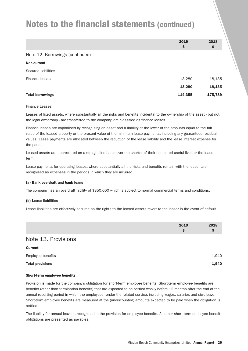|                                                                                                                       | 2019 | 2018 |
|-----------------------------------------------------------------------------------------------------------------------|------|------|
|                                                                                                                       |      |      |
| $\mathbf{r}$ . $\mathbf{r}$ , $\mathbf{r}$ , $\mathbf{r}$ , $\mathbf{r}$ , $\mathbf{r}$ , $\mathbf{r}$ , $\mathbf{r}$ |      |      |

#### Note 12. Borrowings (continued)

| Non-current             |         |         |
|-------------------------|---------|---------|
| Secured liabilities     |         |         |
| Finance leases          | 13,280  | 18,135  |
|                         | 13,280  | 18,135  |
| <b>Total borrowings</b> | 114,355 | 175,789 |

#### Finance Leases

Leases of fixed assets, where substantially all the risks and benefits incidental to the ownership of the asset - but not the legal ownership - are transferred to the company, are classified as finance leases.

Finance leases are capitalised by recognising an asset and a liability at the lower of the amounts equal to the fair value of the leased property or the present value of the minimum lease payments, including any guaranteed residual values. Lease payments are allocated between the reduction of the lease liability and the lease interest expense for the period.

Leased assets are depreciated on a straight-line basis over the shorter of their estimated useful lives or the lease term.

Lease payments for operating leases, where substantially all the risks and benefits remain with the lessor, are recognised as expenses in the periods in which they are incurred.

#### (a) Bank overdraft and bank loans

The company has an overdraft facility of \$350,000 which is subject to normal commercial terms and conditions.

#### (b) Lease liabilities

Lease liabilities are effectively secured as the rights to the leased assets revert to the lessor in the event of default.

| Employee benefits   | $\overline{\phantom{a}}$ | 1,940 |
|---------------------|--------------------------|-------|
| <b>Current</b>      |                          |       |
| Note 13. Provisions |                          |       |
|                     | 2019<br>Ş                | 2018  |

#### Short-term employee benefits

Provision is made for the company's obligation for short-term employee benefits. Short-term employee benefits are benefits (other than termination benefits) that are expected to be settled wholly before 12 months after the end of the annual reporting period in which the employees render the related service, including wages, salaries and sick leave. Short-term employee benefits are measured at the (undiscounted) amounts expected to be paid when the obligation is settled.

The liability for annual leave is recognised in the provision for employee benefits. All other short term employee benefit obligations are presented as payables.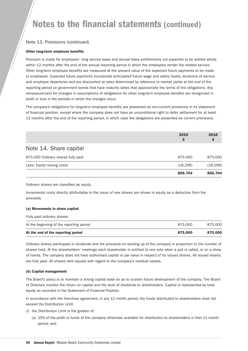#### Note 13. Provisions (continued)

#### Other long-term employee benefits

Provision is made for employees' long service leave and annual leave entitlements not expected to be settled wholly within 12 months after the end of the annual reporting period in which the employees render the related service. Other long-term employee benefits are measured at the present value of the expected future payments to be made to employees. Expected future payments incorporate anticipated future wage and salary levels, durations of service and employee departures and are discounted at rates determined by reference to market yields at the end of the reporting period on government bonds that have maturity dates that approximate the terms of the obligations. Any remeasurement for changes in assumptions of obligations for other long-term employee benefits are recognised in profit or loss in the periods in which the changes occur.

The company's obligations for long-term employee benefits are presented as non-current provisions in its statement of financial position, except where the company does not have an unconditional right to defer settlement for at least 12 months after the end of the reporting period, in which case the obligations are presented as current provisions.

|                                    | 856,704     | 856,704   |
|------------------------------------|-------------|-----------|
| Less: Equity raising costs         | (18, 296)   | (18, 296) |
| 875,000 Ordinary shares fully paid | 875,000     | 875,000   |
| Note 14. Share capital             |             |           |
|                                    | 2019<br>\$. | 2018<br>Ş |

Ordinary shares are classified as equity.

Incremental costs directly attributable to the issue of new shares are shown in equity as a deduction from the proceeds.

#### (a) Movements in share capital

Fully paid ordinary shares:

| At the end of the reporting period       | 875.000 | 875,000 |
|------------------------------------------|---------|---------|
| At the beginning of the reporting period | 875.000 | 875,000 |

Ordinary shares participate in dividends and the proceeds on winding up of the company in proportion to the number of shares held. At the shareholders' meetings each shareholder is entitled to one vote when a poll is called, or on a show of hands. The company does not have authorised capital or par value in respect of its issued shares. All issued shares are fully paid. All shares rank equally with regard to the company's residual assets.

#### (b) Capital management

The Board's policy is to maintain a strong capital base so as to sustain future development of the company. The Board of Directors monitor the return on capital and the level of dividends to shareholders. Capital is represented by total equity as recorded in the Statement of Financial Position.

In accordance with the franchise agreement, in any 12 month period, the funds distributed to shareholders shall not exceed the Distribution Limit.

- (i) the Distribution Limit is the greater of:
	- (a) 20% of the profit or funds of the company otherwise available for distribution to shareholders in that 12 month period; and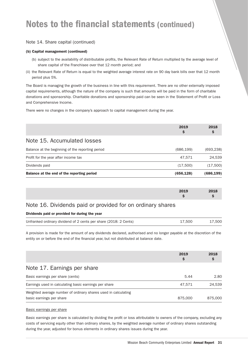#### Note 14. Share capital (continued)

#### (b) Capital management (continued)

- (b) subject to the availability of distributable profits, the Relevant Rate of Return multiplied by the average level of share capital of the Franchisee over that 12 month period; and
- (ii) the Relevant Rate of Return is equal to the weighted average interest rate on 90 day bank bills over that 12 month period plus 5%.

The Board is managing the growth of the business in line with this requirement. There are no other externally imposed capital requirements, although the nature of the company is such that amounts will be paid in the form of charitable donations and sponsorship. Charitable donations and sponsorship paid can be seen in the Statement of Profit or Loss and Comprehensive Income.

There were no changes in the company's approach to capital management during the year.

|                                                  | 2019<br>\$ | 2018      |
|--------------------------------------------------|------------|-----------|
| Note 15. Accumulated losses                      |            |           |
| Balance at the beginning of the reporting period | (686, 199) | (693,238) |
| Profit for the year after income tax             | 47,571     | 24,539    |
| Dividends paid                                   | (17,500)   | (17,500)  |
| Balance at the end of the reporting period       | (656, 128) | (686,199) |

| 2019 | 2018 |
|------|------|
|      |      |

### Note 16. Dividends paid or provided for on ordinary shares

#### Dividends paid or provided for during the year

| Unfranked ordinary dividend of 2 cents per share (2018: 2 Cents) | 17.500 | 17.500 |
|------------------------------------------------------------------|--------|--------|
|                                                                  |        |        |

A provision is made for the amount of any dividends declared, authorised and no longer payable at the discretion of the entity on or before the end of the financial year, but not distributed at balance date.

|                                                                                            | 2019<br>\$ | 2018    |
|--------------------------------------------------------------------------------------------|------------|---------|
| Note 17. Earnings per share                                                                |            |         |
| Basic earnings per share (cents)                                                           | 5.44       | 2.80    |
| Earnings used in calculating basic earnings per share                                      | 47,571     | 24,539  |
| Weighted average number of ordinary shares used in calculating<br>basic earnings per share | 875,000    | 875,000 |

#### Basic earnings per share

Basic earnings per share is calculated by dividing the profit or loss attributable to owners of the company, excluding any costs of servicing equity other than ordinary shares, by the weighted average number of ordinary shares outstanding during the year, adjusted for bonus elements in ordinary shares issues during the year.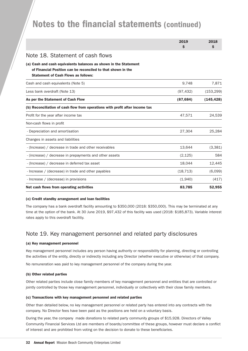|                                                                                                                                                                                | 2019<br>\$ | 2018<br>S  |
|--------------------------------------------------------------------------------------------------------------------------------------------------------------------------------|------------|------------|
| Note 18. Statement of cash flows                                                                                                                                               |            |            |
| (a) Cash and cash equivalents balances as shown in the Statement<br>of Financial Position can be reconciled to that shown in the<br><b>Statement of Cash Flows as follows:</b> |            |            |
| Cash and cash equivalents (Note 5)                                                                                                                                             | 9,748      | 7,871      |
| Less bank overdraft (Note 13)                                                                                                                                                  | (97, 432)  | (153, 299) |
| As per the Statement of Cash Flow                                                                                                                                              | (87, 684)  | (145, 428) |
| (b) Reconciliation of cash flow from operations with profit after income tax                                                                                                   |            |            |
| Profit for the year after income tax                                                                                                                                           | 47,571     | 24,539     |
| Non-cash flows in profit                                                                                                                                                       |            |            |
| - Depreciation and amortisation                                                                                                                                                | 27,304     | 25,284     |
| Changes in assets and liabilities                                                                                                                                              |            |            |
| - (Increase) / decrease in trade and other receivables                                                                                                                         | 13,644     | (3, 381)   |
| - (increase) / decrease in prepayments and other assets                                                                                                                        | (2, 125)   | 584        |
| - (Increase) / decrease in deferred tax asset                                                                                                                                  | 18,044     | 12,445     |
| - Increase / (decrease) in trade and other payables                                                                                                                            | (18, 713)  | (6,099)    |
| - Increase / (decrease) in provisions                                                                                                                                          | (1,940)    | (417)      |
| Net cash flows from operating activities                                                                                                                                       | 83,785     | 52,955     |

#### (c) Credit standby arrangement and loan facilities

The company has a bank overdraft facility amounting to \$350,000 (2018: \$350,000). This may be terminated at any time at the option of the bank. At 30 June 2019, \$97,432 of this facility was used (2018: \$185,873). Variable interest rates apply to this overdraft facilitiy.

### Note 19. Key management personnel and related party disclosures

#### (a) Key management personnel

Key management personnel includes any person having authority or responsibility for planning, directing or controlling the activities of the entity, directly or indirectly including any Director (whether executive or otherwise) of that company.

No remuneration was paid to key management personnel of the company during the year.

#### (b) Other related parties

Other related parties include close family members of key management personnel and entities that are controlled or jointly controlled by those key management personnel, individually or collectively with their close family members.

#### (c) Transactions with key management personnel and related parties

Other than detailed below, no key management personnel or related party has entered into any contracts with the company. No Director fees have been paid as the positions are held on a voluntary basis.

During the year, the company made donations to related party community groups of \$15,928. Directors of Valley Community Financial Services Ltd are members of boards/committee of these groups, however must declare a conflict of interest and are prohibted from voting on the decision to donate to these beneficiaries.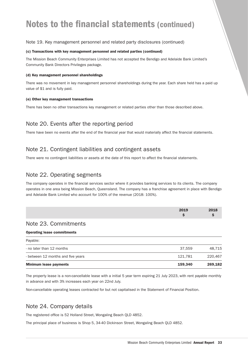#### Note 19. Key management personnel and related party disclosures (continued)

#### (c) Transactions with key management personnel and related parties (continued)

The Mission Beach Community Enterprises Limited has not accepted the Bendigo and Adelaide Bank Limited's Community Bank Directors Privileges package.

#### (d) Key management personnel shareholdings

There was no movement in key management personnel shareholdings during the year. Each share held has a paid up value of \$1 and is fully paid.

#### (e) Other key management transactions

There has been no other transactions key management or related parties other than those described above.

### Note 20. Events after the reporting period

There have been no events after the end of the financial year that would materially affect the financial statements.

### Note 21. Contingent liabilities and contingent assets

There were no contingent liabilities or assets at the date of this report to affect the financial statements.

### Note 22. Operating segments

The company operates in the financial services sector where it provides banking services to its clients. The company operates in one area being Mission Beach, Queensland. The company has a franchise agreement in place with Bendigo and Adelaide Bank Limited who account for 100% of the revenue (2018: 100%).

|                      | 2019 | 2018 |
|----------------------|------|------|
| Note 23. Commitments |      |      |

#### Operating lease commitments

| <b>Minimum lease payments</b>      | 159.340 | 269.182 |
|------------------------------------|---------|---------|
| - between 12 months and five years | 121.781 | 220.467 |
| - no later than 12 months          | 37.559  | 48.715  |
| Payable:                           |         |         |

The property lease is a non-cancellable lease with a initial 5 year term expiring 21 July 2023, with rent payable monthly in advance and with 3% increases each year on 22nd July.

Non-cancellable operating leases contracted for but not capitalised in the Statement of Financial Position.

### Note 24. Company details

The registered office is 52 Holland Street, Wongaling Beach QLD 4852.

The principal place of business is Shop 5, 34-40 Dickinson Street, Wongaling Beach QLD 4852.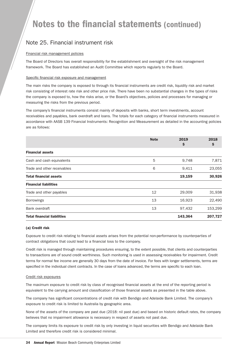### Note 25. Financial instrument risk

#### Financial risk management policies

The Board of Directors has overall responsibility for the establishment and oversight of the risk management framework. The Board has established an Audit Committee which reports regularly to the Board.

#### Specific financial risk exposure and management

The main risks the company is exposed to through its financial instruments are credit risk, liquidity risk and market risk consisting of interest rate risk and other price risk. There have been no substantial changes in the types of risks the company is exposed to, how the risks arise, or the Board's objectives, policies and processes for managing or measuring the risks from the previous period.

The company's financial instruments consist mainly of deposits with banks, short term investments, account receivables and payables, bank overdraft and loans. The totals for each category of financial instruments measured in accordance with AASB 139 Financial Instruments: Recognition and Measurement as detailed in the accounting policies are as follows:

|                                    | <b>Note</b> | 2019<br>\$ | 2018<br>Ş |
|------------------------------------|-------------|------------|-----------|
| <b>Financial assets</b>            |             |            |           |
| Cash and cash equivalents          | 5           | 9,748      | 7,871     |
| Trade and other receivables        | 6           | 9,411      | 23,055    |
| <b>Total financial assets</b>      |             | 19,159     | 30,926    |
| <b>Financial liabilities</b>       |             |            |           |
| Trade and other payables           | 12          | 29,009     | 31,938    |
| <b>Borrowings</b>                  | 13          | 16,923     | 22,490    |
| Bank overdraft                     | 13          | 97,432     | 153,299   |
| <b>Total financial liabilities</b> |             | 143,364    | 207,727   |

#### (a) Credit risk

Exposure to credit risk relating to financial assets arises from the potential non-performance by counterparties of contract obligations that could lead to a financial loss to the company.

Credit risk is managed through maintaining procedures ensuring, to the extent possible, that clients and counterparties to transactions are of sound credit worthiness. Such monitoring is used in assessing receivables for impairment. Credit terms for normal fee income are generally 30 days from the date of invoice. For fees with longer settlements, terms are specified in the individual client contracts. In the case of loans advanced, the terms are specific to each loan.

#### Credit risk exposures

The maximum exposure to credit risk by class of recognised financial assets at the end of the reporting period is equivalent to the carrying amount and classification of those financial assets as presented in the table above.

The company has significant concentrations of credit risk with Bendigo and Adelaide Bank Limited. The company's exposure to credit risk is limited to Australia by geographic area.

None of the assets of the company are past due (2018: nil past due) and based on historic default rates, the company believes that no impairment allowance is necessary in respect of assets not past due.

The company limits its exposure to credit risk by only investing in liquid securities with Bendigo and Adelaide Bank Limited and therefore credit risk is considered minimal.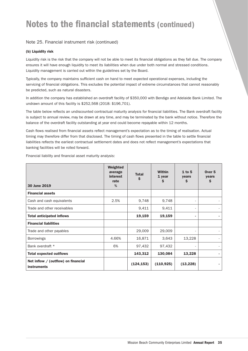#### Note 25. Financial instrument risk (continued)

#### (b) Liquidity risk

Liquidity risk is the risk that the company will not be able to meet its financial obligations as they fall due. The company ensures it will have enough liquidity to meet its liabilities when due under both normal and stressed conditions. Liquidity management is carried out within the guidelines set by the Board.

Typically, the company maintains sufficient cash on hand to meet expected operational expenses, including the servicing of financial obligations. This excludes the potential impact of extreme circumstances that cannot reasonably be predicted, such as natural disasters.

In addition the company has established an overdraft facility of \$350,000 with Bendigo and Adelaide Bank Limited. The undrawn amount of this facility is \$252,568 (2018: \$196,701).

The table below reflects an undiscounted contractual maturity analysis for financial liabilities. The Bank overdraft facility is subject to annual review, may be drawn at any time, and may be terminated by the bank without notice. Therefore the balance of the overdraft facility outstanding at year end could become repayable within 12 months.

Cash flows realised from financial assets reflect management's expectation as to the timing of realisation. Actual timing may therefore differ from that disclosed. The timing of cash flows presented in the table to settle financial liabilities reflects the earliest contractual settlement dates and does not reflect management's expectations that banking facilities will be rolled forward.

Financial liability and financial asset maturity analysis:

| 30 June 2019                                              | Weighted<br>average<br>interest<br>rate<br>$\frac{0}{0}$ | <b>Total</b><br>Ś | <b>Within</b><br>1 year<br>S | 1 to 5<br><b>vears</b><br>S | Over <sub>5</sub><br>years<br>\$ |
|-----------------------------------------------------------|----------------------------------------------------------|-------------------|------------------------------|-----------------------------|----------------------------------|
| <b>Financial assets</b>                                   |                                                          |                   |                              |                             |                                  |
| Cash and cash equivalents                                 | 2.5%                                                     | 9,748             | 9,748                        |                             |                                  |
| Trade and other receivables                               |                                                          | 9,411             | 9,411                        | $\overline{\phantom{a}}$    |                                  |
| <b>Total anticipated inflows</b>                          |                                                          | 19,159            | 19,159                       |                             |                                  |
| <b>Financial liabilities</b>                              |                                                          |                   |                              |                             |                                  |
| Trade and other payables                                  |                                                          | 29,009            | 29,009                       |                             |                                  |
| <b>Borrowings</b>                                         | 4.66%                                                    | 16,871            | 3,643                        | 13,228                      |                                  |
| Bank overdraft *                                          | 6%                                                       | 97,432            | 97,432                       |                             |                                  |
| <b>Total expected outflows</b>                            |                                                          | 143,312           | 130,084                      | 13,228                      |                                  |
| Net inflow / (outflow) on financial<br><b>instruments</b> |                                                          | (124, 153)        | (110, 925)                   | (13, 228)                   |                                  |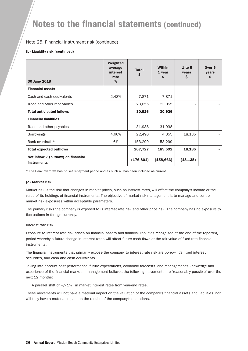#### Note 25. Financial instrument risk (continued)

#### (b) Liquidity risk (continued)

| 30 June 2018                                                | Weighted<br>average<br><b>interest</b><br>rate<br>% | <b>Total</b><br>S | <b>Within</b><br>1 year<br>S | 1 to 5<br>years<br>S | Over <sub>5</sub><br>years<br>\$ |
|-------------------------------------------------------------|-----------------------------------------------------|-------------------|------------------------------|----------------------|----------------------------------|
| <b>Financial assets</b>                                     |                                                     |                   |                              |                      |                                  |
| Cash and cash equivalents                                   | 2.48%                                               | 7,871             | 7,871                        |                      |                                  |
| Trade and other receivables                                 |                                                     | 23,055            | 23,055                       |                      |                                  |
| <b>Total anticipated inflows</b>                            |                                                     | 30,926            | 30,926                       |                      |                                  |
| <b>Financial liabilities</b>                                |                                                     |                   |                              |                      |                                  |
| Trade and other payables                                    |                                                     | 31,938            | 31,938                       |                      |                                  |
| <b>Borrowings</b>                                           | 4.66%                                               | 22,490            | 4,355                        | 18,135               |                                  |
| Bank overdraft *                                            | 6%                                                  | 153,299           | 153,299                      |                      |                                  |
| <b>Total expected outflows</b>                              |                                                     | 207,727           | 189,592                      | 18,135               |                                  |
| Net inflow $/$ (outflow) on financial<br><b>instruments</b> |                                                     | (176, 801)        | (158, 666)                   | (18, 135)            |                                  |

\* The Bank overdraft has no set repayment period and as such all has been included as current.

#### (c) Market risk

Market risk is the risk that changes in market prices, such as interest rates, will affect the company's income or the value of its holdings of financial instruments. The objective of market risk management is to manage and control market risk exposures within acceptable parameters.

The primary risks the company is exposed to is interest rate risk and other price risk. The company has no exposure to fluctuations in foreign currency.

#### Interest rate risk

Exposure to interest rate risk arises on financial assets and financial liabilities recognised at the end of the reporting period whereby a future change in interest rates will affect future cash flows or the fair value of fixed rate financial instruments.

The financial instruments that primarily expose the company to interest rate risk are borrowings, fixed interest securities, and cash and cash equivalents.

Taking into account past performance, future expectations, economic forecasts, and management's knowledge and experience of the financial markets, management believes the following movements are 'reasonably possible' over the next 12 months:

 $\cdot$  A parallel shift of  $+/$ -1% in market interest rates from year-end rates.

These movements will not have a material impact on the valuation of the company's financial assets and liabilities, nor will they have a material impact on the results of the company's operations.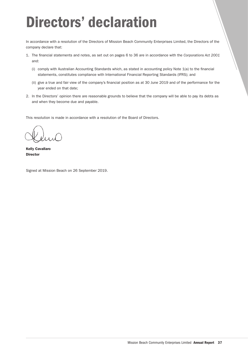# Directors' declaration

In accordance with a resolution of the Directors of Mission Beach Community Enterprises Limited, the Directors of the company declare that:

- 1. The financial statements and notes, as set out on pages 6 to 36 are in accordance with the *Corporations Act 2001* and:
	- (i) comply with Australian Accounting Standards which, as stated in accounting policy Note 1(a) to the financial statements, constitutes compliance with International Financial Reporting Standards (IFRS); and
	- (ii) give a true and fair view of the company's financial position as at 30 June 2019 and of the performance for the year ended on that date;
- 2. In the Directors' opinion there are reasonable grounds to believe that the company will be able to pay its debts as and when they become due and payable.

This resolution is made in accordance with a resolution of the Board of Directors.

Kelly Cavallaro Director

Signed at Mission Beach on 26 September 2019.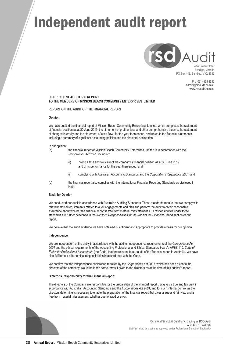# Independent audit report



Ph: (03) 4435 3550 admin@rsdaudit.com.au www.rsdaudit.com.au

#### **INDEPENDENT AUDITOR'S REPORT TO THE MEMBERS OF MISSION BEACH COMMUNITY ENTERPRISES LIMITED**

**REPORT ON THE AUDIT OF THE FINANCIAL REPORT**

#### **Opinion**

We have audited the financial report of Mission Beach Community Enterprises Limited, which comprises the statement of financial position as at 30 June 2019, the statement of profit or loss and other comprehensive income, the statement of changes in equity and the statement of cash flows for the year then ended, and notes to the financial statements, including a summary of significant accounting policies and the directors' declaration.

#### In our opinion:

- (a) the financial report of Mission Beach Community Enterprises Limited is in accordance with the *Corporations Act 2001*, including:
	- (i) giving a true and fair view of the company's financial position as at 30 June 2019 and of its performance for the year then ended; and
	- (ii) complying with Australian Accounting Standards and the *Corporations Regulations 2001;* and
- (b) the financial report also complies with the International Financial Reporting Standards as disclosed in Note 1

#### **Basis for Opinion**

We conducted our audit in accordance with Australian Auditing Standards. Those standards require that we comply with relevant ethical requirements related to audit engagements and plan and perform the audit to obtain reasonable assurance about whether the financial report is free from material misstatement. Our responsibilities under those standards are further described in the *Auditor's Responsibilities for the Audit of the Financial Report* section of our report.

We believe that the audit evidence we have obtained is sufficient and appropriate to provide a basis for our opinion.

#### **Independence**

We are independent of the entity in accordance with the auditor independence requirements of the *Corporations Act 2001* and the ethical requirements of the Accounting Professional and Ethical Standards Board's APES 110: *Code of Ethics for Professional Accountants* (the Code) that are relevant to our audit of the financial report in Australia. We have also fulfilled our other ethical responsibilities in accordance with the Code.

We confirm that the independence declaration required by the *Corporations Act 2001*, which has been given to the directors of the company, would be in the same terms if given to the directors as at the time of this auditor's report.

#### **Director's Responsibility for the Financial Report**

The directors of the Company are responsible for the preparation of the financial report that gives a true and fair view in accordance with Australian Accounting Standards and the *Corporations Act 2001,* and for such internal control as the directors determine is necessary to enable the preparation of the financial report that gives a true and fair view and is free from material misstatement, whether due to fraud or error.



Richmond Sinnott & Delahunty, trading as RSD Audit ABN 60 616 244 309 Liability limited by a scheme approved under Professional Standards Legislation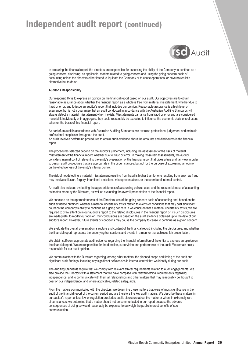### Independent audit report (continued)



In preparing the financial report, the directors are responsible for assessing the ability of the Company to continue as a going concern, disclosing, as applicable, matters related to going concern and using the going concern basis of accounting unless the directors either intend to liquidate the Company or to cease operations, or have no realistic alternative but to do so.

#### **Auditor's Responsibility**

Our responsibility is to express an opinion on the financial report based on our audit. Our objectives are to obtain reasonable assurance about whether the financial report as a whole is free from material misstatement, whether due to fraud or error, and to issue an auditor's report that includes our opinion. Reasonable assurance is a high level of assurance, but is not a guarantee that an audit conducted in accordance with the Australian Auditing Standards will always detect a material misstatement when it exists. Misstatements can arise from fraud or error and are considered material if, individually or in aggregate, they could reasonably be expected to influence the economic decisions of users taken on the basis of this financial report.

As part of an audit in accordance with Australian Auditing Standards, we exercise professional judgement and maintain professional scepticism throughout the audit.

An audit involves performing procedures to obtain audit evidence about the amounts and disclosures in the financial report.

The procedures selected depend on the auditor's judgement, including the assessment of the risks of material misstatement of the financial report, whether due to fraud or error. In making those risk assessments, the auditor considers internal control relevant to the entity's preparation of the financial report that gives a true and fair view in order to design audit procedures that are appropriate in the circumstances, but not for the purpose of expressing an opinion on the effectiveness of the entity's internal control.

The risk of not detecting a material misstatement resulting from fraud is higher than for one resulting from error, as fraud may involve collusion, forgery, intentional omissions, misrepresentations, or the override of internal control.

An audit also includes evaluating the appropriateness of accounting policies used and the reasonableness of accounting estimates made by the Directors, as well as evaluating the overall presentation of the financial report.

We conclude on the appropriateness of the Directors' use of the going concern basis of accounting and, based on the audit evidence obtained, whether a material uncertainty exists related to events or conditions that may cast significant doubt on the company's ability to continue as a going concern. If we conclude that a material uncertainty exists, we are required to draw attention in our auditor's report to the related disclosures in the financial report or, if such disclosures are inadequate, to modify our opinion. Our conclusions are based on the audit evidence obtained up to the date of our auditor's report. However, future events or conditions may cause the company to cease to continue as a going concern.

We evaluate the overall presentation, structure and content of the financial report, including the disclosures, and whether the financial report represents the underlying transactions and events in a manner that achieves fair presentation.

We obtain sufficient appropriate audit evidence regarding the financial information of the entity to express an opinion on the financial report. We are responsible for the direction, supervision and performance of the audit. We remain solely responsible for our audit opinion.

We communicate with the Directors regarding, among other matters, the planned scope and timing of the audit and significant audit findings, including any significant deficiencies in internal control that we identify during our audit.

The Auditing Standards require that we comply with relevant ethical requirements relating to audit engagements. We also provide the Directors with a statement that we have complied with relevant ethical requirements regarding independence, and to communicate with them all relationships and other matters that may reasonably be thought to bear on our independence, and where applicable, related safeguards.

From the matters communicated with the directors, we determine those matters that were of most significance in the audit of the financial report of the current period and are therefore the key audit matters. We describe these matters in our auditor's report unless law or regulation precludes public disclosure about the matter or when, in extremely rare circumstances, we determine that a matter should not be communicated in our report because the adverse consequences of doing so would reasonably be expected to outweigh the public interest benefits of such communication.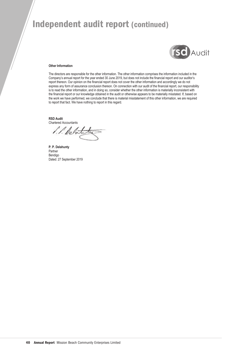### Independent audit report (continued)



#### **Other Information**

The directors are responsible for the other information. The other information comprises the information included in the Company's annual report for the year ended 30 June 2019, but does not include the financial report and our auditor's report thereon. Our opinion on the financial report does not cover the other information and accordingly we do not express any form of assurance conclusion thereon. On connection with our audit of the financial report, our responsibility is to read the other information, and in doing so, consider whether the other information is materially inconsistent with the financial report or our knowledge obtained in the audit or otherwise appears to be materially misstated. If, based on the work we have performed, we conclude that there is material misstatement of this other information, we are required to report that fact. We have nothing to report in this regard.

**RSD Audit** Chartered Accountants

**P. P. Delahunty** Partner Bendigo Dated: 27 September 2019